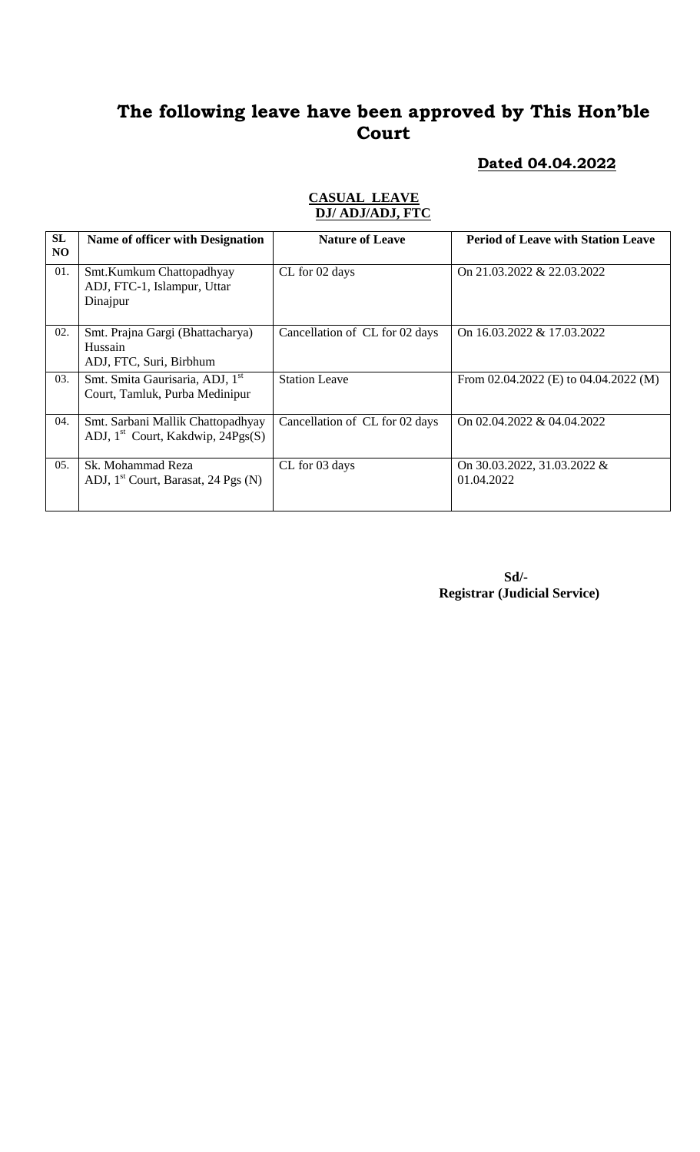#### **Dated 04.04.2022**

#### **CASUAL LEAVE DJ/ ADJ/ADJ, FTC**

| SL  | Name of officer with Designation                                              | <b>Nature of Leave</b>         | <b>Period of Leave with Station Leave</b> |
|-----|-------------------------------------------------------------------------------|--------------------------------|-------------------------------------------|
| NO  |                                                                               |                                |                                           |
| 01. | Smt.Kumkum Chattopadhyay<br>ADJ, FTC-1, Islampur, Uttar<br>Dinajpur           | CL for 02 days                 | On 21.03.2022 & 22.03.2022                |
| 02. | Smt. Prajna Gargi (Bhattacharya)<br>Hussain<br>ADJ, FTC, Suri, Birbhum        | Cancellation of CL for 02 days | On 16.03.2022 & 17.03.2022                |
| 03. | Smt. Smita Gaurisaria, ADJ, 1 <sup>st</sup><br>Court, Tamluk, Purba Medinipur | <b>Station Leave</b>           | From $02.04.2022$ (E) to $04.04.2022$ (M) |
| 04. | Smt. Sarbani Mallik Chattopadhyay<br>ADJ, $1st$ Court, Kakdwip, 24Pgs(S)      | Cancellation of CL for 02 days | On 02.04.2022 & 04.04.2022                |
| 05. | Sk. Mohammad Reza<br>ADJ, 1 <sup>st</sup> Court, Barasat, 24 Pgs (N)          | CL for 03 days                 | On 30.03.2022, 31.03.2022 &<br>01.04.2022 |

 **Sd/- Registrar (Judicial Service)**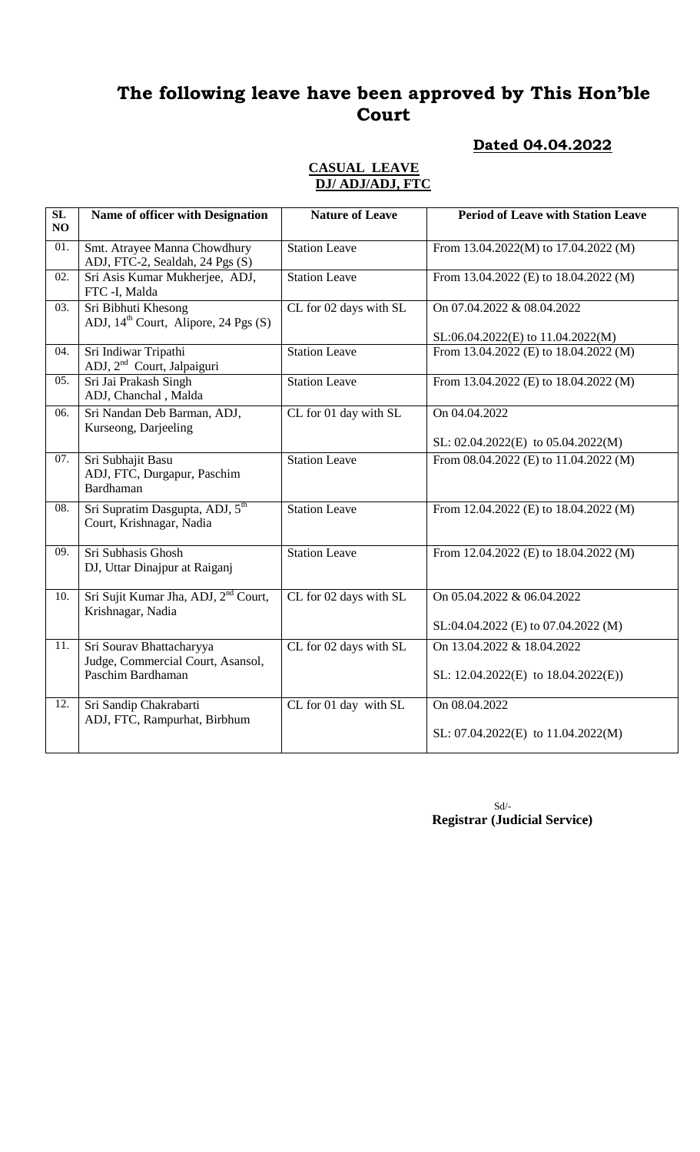### **Dated 04.04.2022**

#### **CASUAL LEAVE DJ/ ADJ/ADJ, FTC**

| SL<br>NO          | Name of officer with Designation                                        | <b>Nature of Leave</b> | <b>Period of Leave with Station Leave</b> |
|-------------------|-------------------------------------------------------------------------|------------------------|-------------------------------------------|
| 01.               | Smt. Atrayee Manna Chowdhury<br>ADJ, FTC-2, Sealdah, 24 Pgs (S)         | <b>Station Leave</b>   | From 13.04.2022(M) to 17.04.2022 (M)      |
| 02.               | Sri Asis Kumar Mukherjee, ADJ,<br>FTC -I, Malda                         | <b>Station Leave</b>   | From 13.04.2022 (E) to 18.04.2022 (M)     |
| 03.               | Sri Bibhuti Khesong<br>ADJ, 14 <sup>th</sup> Court, Alipore, 24 Pgs (S) | CL for 02 days with SL | On 07.04.2022 & 08.04.2022                |
|                   |                                                                         |                        | SL:06.04.2022(E) to 11.04.2022(M)         |
| 04.               | Sri Indiwar Tripathi<br>ADJ, 2 <sup>nd</sup> Court, Jalpaiguri          | <b>Station Leave</b>   | From 13.04.2022 (E) to 18.04.2022 (M)     |
| 05.               | Sri Jai Prakash Singh<br>ADJ, Chanchal, Malda                           | <b>Station Leave</b>   | From 13.04.2022 (E) to 18.04.2022 (M)     |
| 06.               | Sri Nandan Deb Barman, ADJ,<br>Kurseong, Darjeeling                     | CL for 01 day with SL  | On 04.04.2022                             |
|                   |                                                                         |                        | SL: $02.04.2022(E)$ to $05.04.2022(M)$    |
| 07.               | Sri Subhajit Basu<br>ADJ, FTC, Durgapur, Paschim<br><b>Bardhaman</b>    | <b>Station Leave</b>   | From 08.04.2022 (E) to 11.04.2022 (M)     |
| $\overline{08}$ . | Sri Supratim Dasgupta, ADJ, 5 <sup>th</sup><br>Court, Krishnagar, Nadia | <b>Station Leave</b>   | From 12.04.2022 (E) to 18.04.2022 (M)     |
| 09.               | Sri Subhasis Ghosh<br>DJ, Uttar Dinajpur at Raiganj                     | <b>Station Leave</b>   | From 12.04.2022 (E) to 18.04.2022 (M)     |
| 10.               | Sri Sujit Kumar Jha, ADJ, 2 <sup>nd</sup> Court,<br>Krishnagar, Nadia   | CL for 02 days with SL | On 05.04.2022 & 06.04.2022                |
|                   |                                                                         |                        | SL:04.04.2022 (E) to 07.04.2022 (M)       |
| 11.               | Sri Sourav Bhattacharyya<br>Judge, Commercial Court, Asansol,           | CL for 02 days with SL | On 13.04.2022 & 18.04.2022                |
|                   | Paschim Bardhaman                                                       |                        | SL: $12.04.2022(E)$ to $18.04.2022(E)$ )  |
| 12.               | Sri Sandip Chakrabarti                                                  | CL for 01 day with SL  | On 08.04.2022                             |
|                   | ADJ, FTC, Rampurhat, Birbhum                                            |                        | SL: $07.04.2022(E)$ to $11.04.2022(M)$    |

 Sd/- **Registrar (Judicial Service)**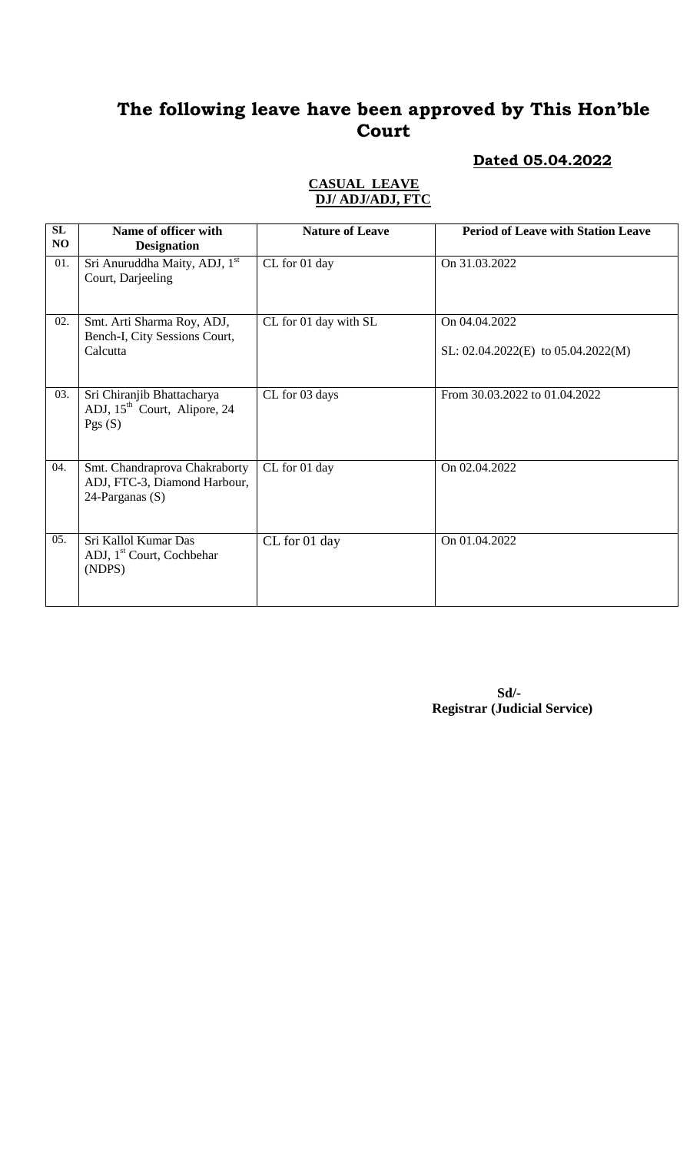### **Dated 05.04.2022**

#### **CASUAL LEAVE DJ/ ADJ/ADJ, FTC**

| SL<br>N <sub>O</sub> | Name of officer with<br><b>Designation</b>                                          | <b>Nature of Leave</b> | <b>Period of Leave with Station Leave</b>               |
|----------------------|-------------------------------------------------------------------------------------|------------------------|---------------------------------------------------------|
| 01.                  | Sri Anuruddha Maity, ADJ, 1 <sup>st</sup><br>Court, Darjeeling                      | CL for 01 day          | On 31.03.2022                                           |
| 02.                  | Smt. Arti Sharma Roy, ADJ,<br>Bench-I, City Sessions Court,<br>Calcutta             | CL for 01 day with SL  | On 04.04.2022<br>SL: $02.04.2022(E)$ to $05.04.2022(M)$ |
| 03.                  | Sri Chiranjib Bhattacharya<br>ADJ, 15 <sup>th</sup> Court, Alipore, 24<br>Pgs $(S)$ | CL for 03 days         | From 30.03.2022 to 01.04.2022                           |
| 04.                  | Smt. Chandraprova Chakraborty<br>ADJ, FTC-3, Diamond Harbour,<br>24-Parganas (S)    | CL for 01 day          | On 02.04.2022                                           |
| 05.                  | Sri Kallol Kumar Das<br>ADJ, 1 <sup>st</sup> Court, Cochbehar<br>(NDPS)             | CL for 01 day          | On 01.04.2022                                           |

 **Sd/- Registrar (Judicial Service)**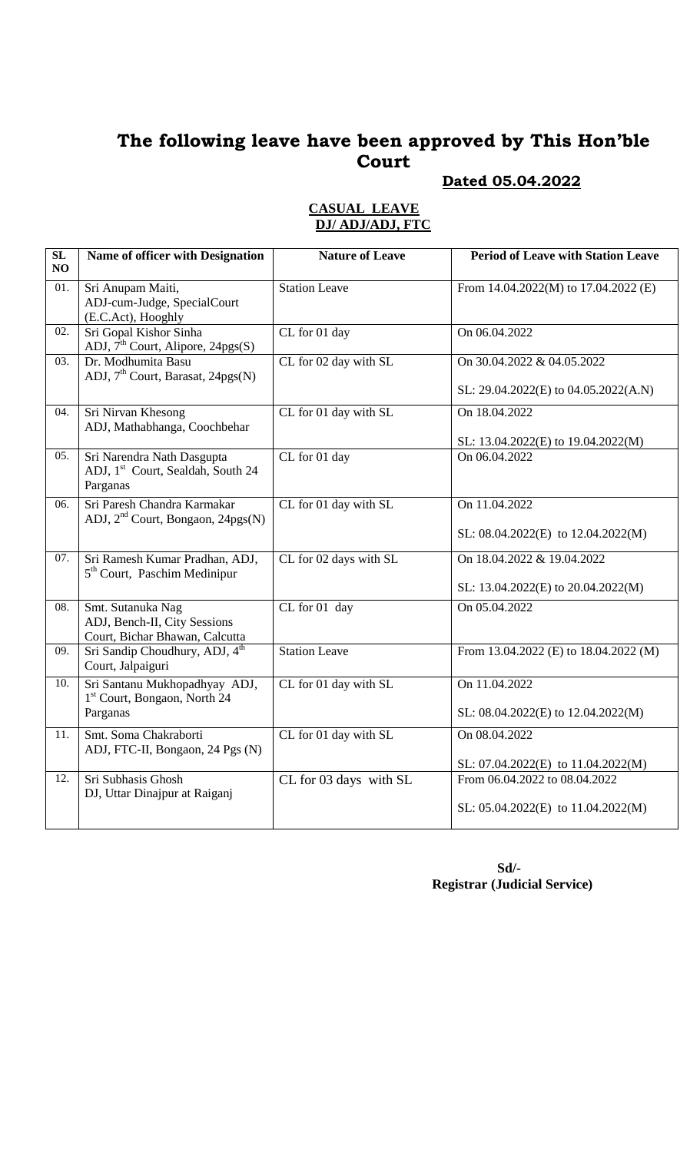### **Dated 05.04.2022**

| $\overline{\text{SL}}$<br>NO | Name of officer with Designation                                                        | <b>Nature of Leave</b> | <b>Period of Leave with Station Leave</b>                               |
|------------------------------|-----------------------------------------------------------------------------------------|------------------------|-------------------------------------------------------------------------|
| 01.                          | Sri Anupam Maiti,<br>ADJ-cum-Judge, SpecialCourt<br>(E.C.Act), Hooghly                  | <b>Station Leave</b>   | From $14.04.2022(M)$ to $17.04.2022(E)$                                 |
| 02.                          | Sri Gopal Kishor Sinha<br>ADJ, $7th$ Court, Alipore, 24pgs(S)                           | CL for 01 day          | On 06.04.2022                                                           |
| 03.                          | Dr. Modhumita Basu<br>ADJ, 7 <sup>th</sup> Court, Barasat, 24pgs(N)                     | CL for 02 day with SL  | On 30.04.2022 & 04.05.2022<br>SL: 29.04.2022(E) to 04.05.2022(A.N)      |
| 04.                          | Sri Nirvan Khesong<br>ADJ, Mathabhanga, Coochbehar                                      | CL for 01 day with SL  | On 18.04.2022<br>SL: 13.04.2022(E) to 19.04.2022(M)                     |
| 05.                          | Sri Narendra Nath Dasgupta<br>ADJ, 1 <sup>st</sup> Court, Sealdah, South 24<br>Parganas | CL for 01 day          | On 06.04.2022                                                           |
| 06.                          | Sri Paresh Chandra Karmakar<br>ADJ, 2 <sup>nd</sup> Court, Bongaon, 24pgs(N)            | CL for 01 day with SL  | On 11.04.2022<br>SL: $08.04.2022(E)$ to $12.04.2022(M)$                 |
| 07.                          | Sri Ramesh Kumar Pradhan, ADJ,<br>5 <sup>th</sup> Court, Paschim Medinipur              | CL for 02 days with SL | On 18.04.2022 & 19.04.2022<br>SL: 13.04.2022(E) to 20.04.2022(M)        |
| 08.                          | Smt. Sutanuka Nag<br>ADJ, Bench-II, City Sessions<br>Court, Bichar Bhawan, Calcutta     | CL for 01 day          | On 05.04.2022                                                           |
| 09.                          | Sri Sandip Choudhury, ADJ, 4 <sup>th</sup><br>Court, Jalpaiguri                         | <b>Station Leave</b>   | From 13.04.2022 (E) to 18.04.2022 (M)                                   |
| 10.                          | Sri Santanu Mukhopadhyay ADJ,<br>1 <sup>st</sup> Court, Bongaon, North 24<br>Parganas   | CL for 01 day with SL  | On 11.04.2022<br>SL: 08.04.2022(E) to 12.04.2022(M)                     |
| 11.                          | Smt. Soma Chakraborti<br>ADJ, FTC-II, Bongaon, 24 Pgs (N)                               | CL for 01 day with SL  | On 08.04.2022<br>SL: 07.04.2022(E) to 11.04.2022(M)                     |
| 12.                          | Sri Subhasis Ghosh<br>DJ, Uttar Dinajpur at Raiganj                                     | CL for 03 days with SL | From 06.04.2022 to 08.04.2022<br>SL: $05.04.2022(E)$ to $11.04.2022(M)$ |

#### **CASUAL LEAVE DJ/ ADJ/ADJ, FTC**

 **Sd/- Registrar (Judicial Service)**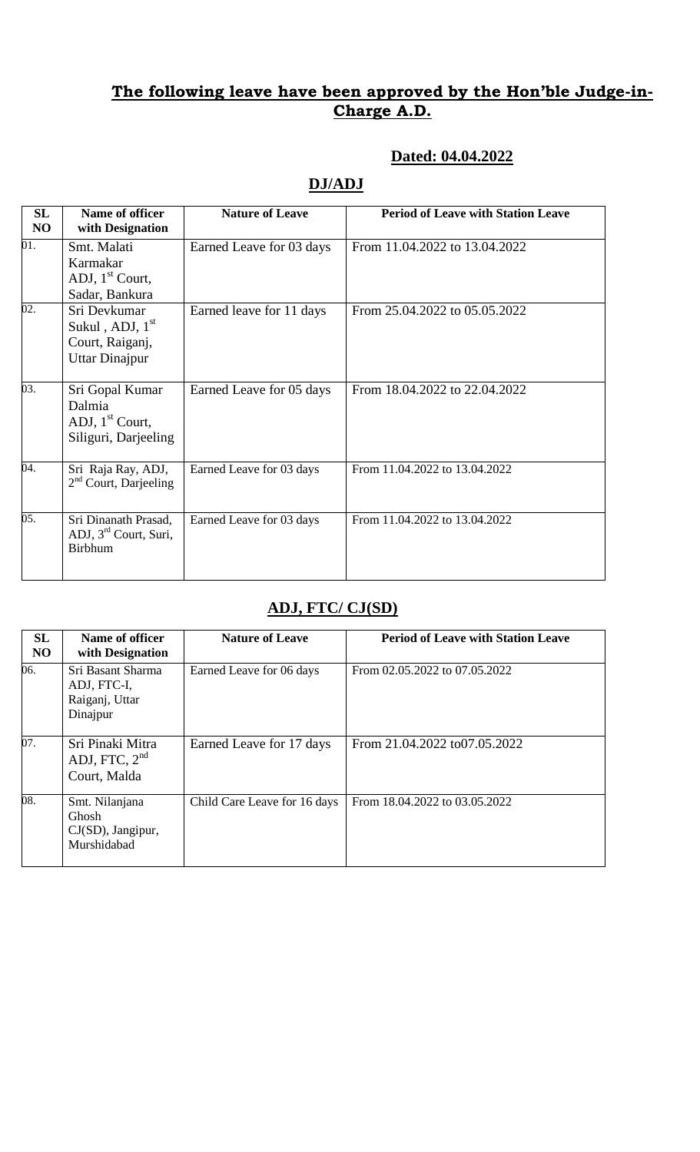## **Dated: 04.04.2022**

## **DJ/ADJ**

| <b>SL</b><br>NO | Name of officer<br>with Designation                                    | <b>Nature of Leave</b>   | <b>Period of Leave with Station Leave</b> |
|-----------------|------------------------------------------------------------------------|--------------------------|-------------------------------------------|
| 01.             | Smt. Malati<br>Karmakar<br>ADJ, $1st$ Court,<br>Sadar, Bankura         | Earned Leave for 03 days | From 11.04.2022 to 13.04.2022             |
| 02.             | Sri Devkumar<br>Sukul, ADJ, $1st$<br>Court, Raiganj,<br>Uttar Dinajpur | Earned leave for 11 days | From 25.04.2022 to 05.05.2022             |
| 03.             | Sri Gopal Kumar<br>Dalmia<br>ADJ, $1st$ Court,<br>Siliguri, Darjeeling | Earned Leave for 05 days | From 18.04.2022 to 22.04.2022             |
| 04.             | Sri Raja Ray, ADJ,<br>$2nd$ Court, Darjeeling                          | Earned Leave for 03 days | From 11.04.2022 to 13.04.2022             |
| 05.             | Sri Dinanath Prasad,<br>ADJ, 3rd Court, Suri,<br><b>Birbhum</b>        | Earned Leave for 03 days | From 11.04.2022 to 13.04.2022             |

## **ADJ, FTC/ CJ(SD)**

| SL<br>N <sub>O</sub> | Name of officer<br>with Designation                            | <b>Nature of Leave</b>       | <b>Period of Leave with Station Leave</b> |
|----------------------|----------------------------------------------------------------|------------------------------|-------------------------------------------|
| 06.                  | Sri Basant Sharma<br>ADJ, FTC-I,<br>Raiganj, Uttar<br>Dinajpur | Earned Leave for 06 days     | From 02.05.2022 to 07.05.2022             |
| 07.                  | Sri Pinaki Mitra<br>ADJ, FTC, $2nd$<br>Court, Malda            | Earned Leave for 17 days     | From 21.04.2022 to 07.05.2022             |
| 08.                  | Smt. Nilanjana<br>Ghosh<br>$CJ(SD)$ , Jangipur,<br>Murshidabad | Child Care Leave for 16 days | From 18.04.2022 to 03.05.2022             |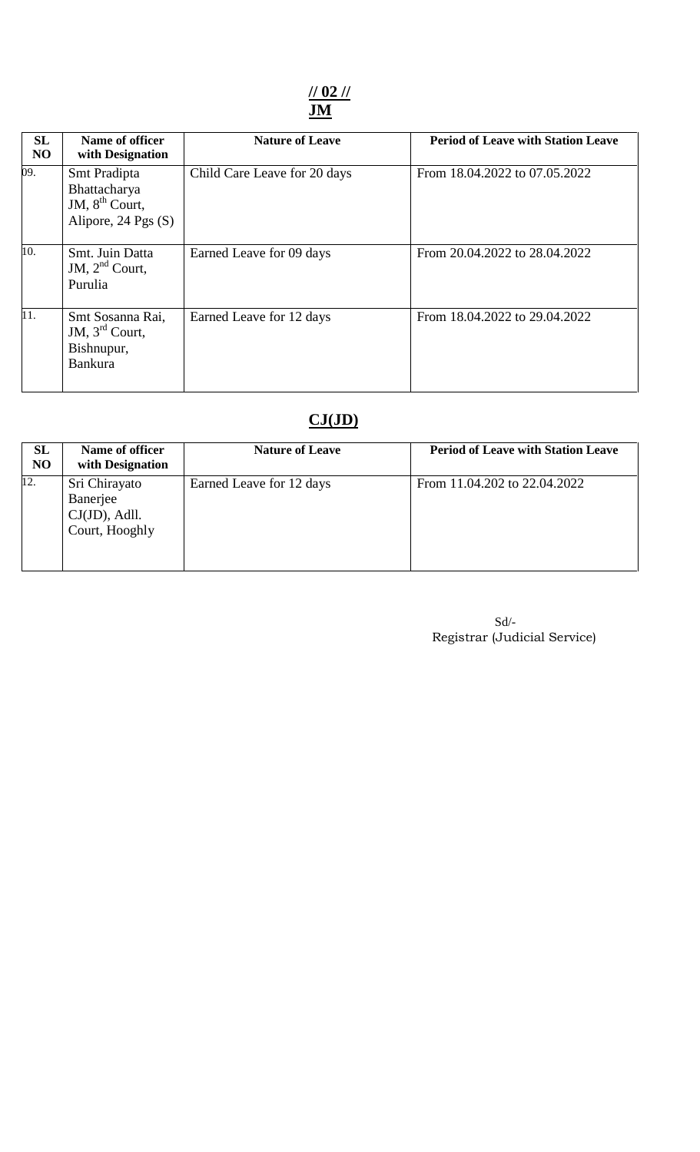**// 02 // JM**

| SL<br>N <sub>O</sub> | Name of officer<br>with Designation                                        | <b>Nature of Leave</b>       | <b>Period of Leave with Station Leave</b> |
|----------------------|----------------------------------------------------------------------------|------------------------------|-------------------------------------------|
| 09.                  | Smt Pradipta<br>Bhattacharya<br>JM, $8^{th}$ Court,<br>Alipore, 24 Pgs (S) | Child Care Leave for 20 days | From 18.04.2022 to 07.05.2022             |
| 10.                  | Smt. Juin Datta<br>JM, $2nd$ Court,<br>Purulia                             | Earned Leave for 09 days     | From 20.04.2022 to 28.04.2022             |
| 11.                  | Smt Sosanna Rai,<br>JM, $3rd$ Court,<br>Bishnupur,<br><b>Bankura</b>       | Earned Leave for 12 days     | From 18.04.2022 to 29.04.2022             |

# **CJ(JD)**

| <b>SL</b><br><b>NO</b> | Name of officer<br>with Designation                             | <b>Nature of Leave</b>   | <b>Period of Leave with Station Leave</b> |
|------------------------|-----------------------------------------------------------------|--------------------------|-------------------------------------------|
| 12.                    | Sri Chirayato<br>Banerjee<br>$CJ(JD)$ , Adll.<br>Court, Hooghly | Earned Leave for 12 days | From 11.04.202 to 22.04.2022              |

| Sd/                          |
|------------------------------|
| Registrar (Judicial Service) |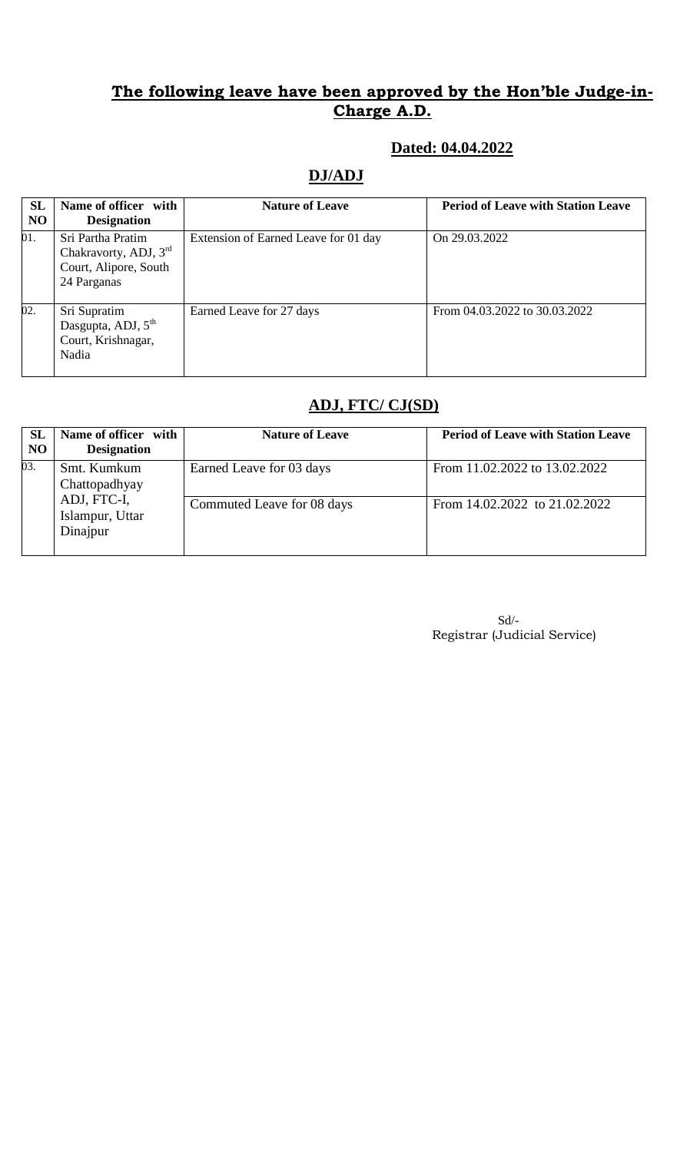### **Dated: 04.04.2022**

## **DJ/ADJ**

| <b>SL</b><br>N <sub>O</sub> | Name of officer with<br><b>Designation</b>                                         | <b>Nature of Leave</b>               | <b>Period of Leave with Station Leave</b> |
|-----------------------------|------------------------------------------------------------------------------------|--------------------------------------|-------------------------------------------|
| 01.                         | Sri Partha Pratim<br>Chakravorty, ADJ, 3rd<br>Court, Alipore, South<br>24 Parganas | Extension of Earned Leave for 01 day | On 29.03.2022                             |
| 02.                         | Sri Supratim<br>Dasgupta, ADJ, 5 <sup>th</sup><br>Court, Krishnagar,<br>Nadia      | Earned Leave for 27 days             | From 04.03.2022 to 30.03.2022             |

## **ADJ, FTC/ CJ(SD)**

| <b>SL</b><br>N <sub>O</sub> | Name of officer with<br><b>Designation</b> | <b>Nature of Leave</b>     | <b>Period of Leave with Station Leave</b> |
|-----------------------------|--------------------------------------------|----------------------------|-------------------------------------------|
| 03.                         | Smt. Kumkum<br>Chattopadhyay               | Earned Leave for 03 days   | From 11.02.2022 to 13.02.2022             |
|                             | ADJ, FTC-I,<br>Islampur, Uttar<br>Dinajpur | Commuted Leave for 08 days | From 14.02.2022 to 21.02.2022             |

| $Sd$ /-                      |
|------------------------------|
| Registrar (Judicial Service) |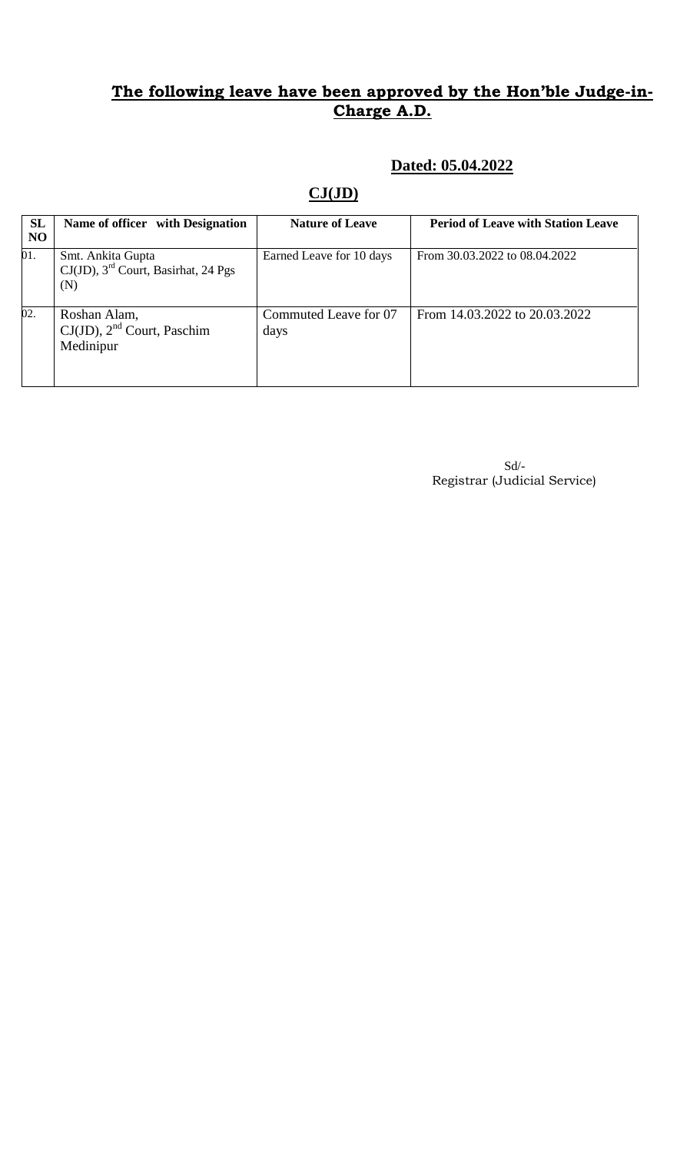### **Dated: 05.04.2022**

## **CJ(JD)**

| <b>SL</b><br>N <sub>O</sub> | Name of officer with Designation                                               | <b>Nature of Leave</b>        | <b>Period of Leave with Station Leave</b> |
|-----------------------------|--------------------------------------------------------------------------------|-------------------------------|-------------------------------------------|
| 01.                         | Smt. Ankita Gupta<br>$CJ(JD)$ , 3 <sup>rd</sup> Court, Basirhat, 24 Pgs<br>(N) | Earned Leave for 10 days      | From 30.03.2022 to 08.04.2022             |
| 02.                         | Roshan Alam,<br>$CJ(JD)$ , $2nd$ Court, Paschim<br>Medinipur                   | Commuted Leave for 07<br>days | From 14.03.2022 to 20.03.2022             |

 Sd/- Registrar (Judicial Service)